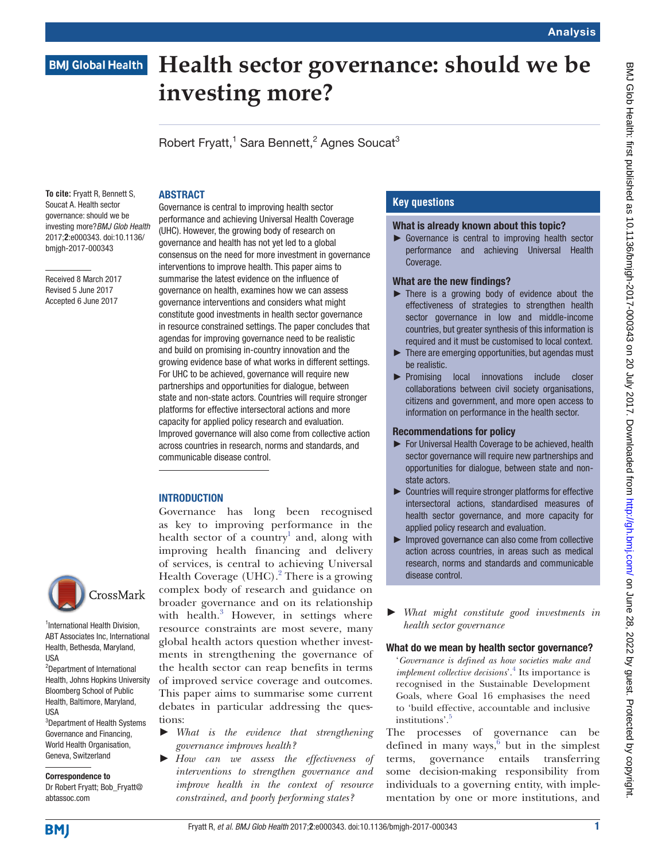# **Health sector governance: should we be BMJ Global Health investing more?**

Robert Fryatt,<sup>1</sup> Sara Bennett,<sup>2</sup> Agnes Soucat<sup>3</sup>

## **ABSTRACT**

**To cite:** Fryatt R, Bennett S, Soucat A. Health sector governance: should we be investing more?*BMJ Glob Health* 2017;**2**:e000343. doi:10.1136/ bmjgh-2017-000343

Received 8 March 2017 Revised 5 June 2017 Accepted 6 June 2017



1 International Health Division, ABT Associates Inc, International Health, Bethesda, Maryland, USA

2 Department of International Health, Johns Hopkins University Bloomberg School of Public Health, Baltimore, Maryland, USA

3 Department of Health Systems Governance and Financing, World Health Organisation, Geneva, Switzerland

# Correspondence to

Dr Robert Fryatt; Bob\_Fryatt@ abtassoc.com

Governance is central to improving health sector performance and achieving Universal Health Coverage (UHC). However, the growing body of research on governance and health has not yet led to a global consensus on the need for more investment in governance interventions to improve health. This paper aims to summarise the latest evidence on the influence of governance on health, examines how we can assess governance interventions and considers what might constitute good investments in health sector governance in resource constrained settings. The paper concludes that agendas for improving governance need to be realistic and build on promising in-country innovation and the growing evidence base of what works in different settings. For UHC to be achieved, governance will require new partnerships and opportunities for dialogue, between state and non-state actors. Countries will require stronger platforms for effective intersectoral actions and more capacity for applied policy research and evaluation. Improved governance will also come from collective action across countries in research, norms and standards, and communicable disease control.

#### **INTRODUCTION**

Governance has long been recognised as key to improving performance in the health sector of a country<sup>[1](#page-4-0)</sup> and, along with improving health financing and delivery of services, is central to achieving Universal Health Coverage (UHC). $^{2}$  $^{2}$  $^{2}$  There is a growing complex body of research and guidance on broader governance and on its relationship with health.<sup>[3](#page-4-2)</sup> However, in settings where resource constraints are most severe, many global health actors question whether investments in strengthening the governance of the health sector can reap benefits in terms of improved service coverage and outcomes. This paper aims to summarise some current debates in particular addressing the questions:

- ► *What is the evidence that strengthening governance improves health?*
- ► *How can we assess the effectiveness of interventions to strengthen governance and improve health in the context of resource constrained, and poorly performing states?*

# **Key questions**

#### What is already known about this topic?

► Governance is central to improving health sector performance and achieving Universal Health Coverage.

#### What are the new findings?

- ► There is a growing body of evidence about the effectiveness of strategies to strengthen health sector governance in low and middle-income countries, but greater synthesis of this information is required and it must be customised to local context.
- ► There are emerging opportunities, but agendas must be realistic.
- ► Promising local innovations include closer collaborations between civil society organisations, citizens and government, and more open access to information on performance in the health sector.

#### Recommendations for policy

- ► For Universal Health Coverage to be achieved, health sector governance will require new partnerships and opportunities for dialogue, between state and nonstate actors.
- ► Countries will require stronger platforms for effective intersectoral actions, standardised measures of health sector governance, and more capacity for applied policy research and evaluation.
- ► Improved governance can also come from collective action across countries, in areas such as medical research, norms and standards and communicable disease control.
- ► *What might constitute good investments in health sector governance*

## What do we mean by health sector governance?

'*Governance is defined as how societies make and*  implement collective decisions'.<sup>[4](#page-4-3)</sup> Its importance is recognised in the Sustainable Development Goals, where Goal 16 emphasises the need to 'build effective, accountable and inclusive institutions'.<sup>[5](#page-4-4)</sup>

The processes of governance can be defined in many ways, $\frac{6}{6}$  $\frac{6}{6}$  $\frac{6}{6}$  but in the simplest terms, governance entails transferring some decision-making responsibility from individuals to a governing entity, with implementation by one or more institutions, and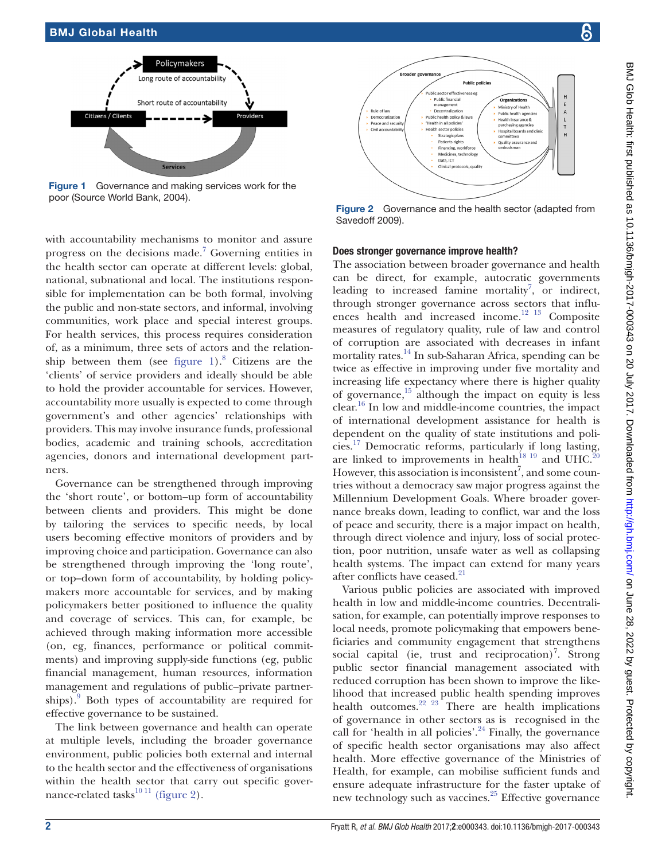

<span id="page-1-0"></span>**Figure 1** Governance and making services work for the poor (Source World Bank, 2004).

with accountability mechanisms to monitor and assure progress on the decisions made.<sup>[7](#page-4-6)</sup> Governing entities in the health sector can operate at different levels: global, national, subnational and local. The institutions responsible for implementation can be both formal, involving the public and non-state sectors, and informal, involving communities, work place and special interest groups. For health services, this process requires consideration of, as a minimum, three sets of actors and the relationship between them (see [figure](#page-1-0) 1). $8$  Citizens are the 'clients' of service providers and ideally should be able to hold the provider accountable for services. However, accountability more usually is expected to come through government's and other agencies' relationships with providers. This may involve insurance funds, professional bodies, academic and training schools, accreditation agencies, donors and international development partners.

Governance can be strengthened through improving the 'short route', or bottom–up form of accountability between clients and providers. This might be done by tailoring the services to specific needs, by local users becoming effective monitors of providers and by improving choice and participation. Governance can also be strengthened through improving the 'long route', or top–down form of accountability, by holding policymakers more accountable for services, and by making policymakers better positioned to influence the quality and coverage of services. This can, for example, be achieved through making information more accessible (on, eg, finances, performance or political commitments) and improving supply-side functions (eg, public financial management, human resources, information management and regulations of public–private partner-ships).<sup>[9](#page-4-8)</sup> Both types of accountability are required for effective governance to be sustained.

The link between governance and health can operate at multiple levels, including the broader governance environment, public policies both external and internal to the health sector and the effectiveness of organisations within the health sector that carry out specific governance-related tasks $^{10 \text{ 11}}$  [\(figure 2\)](#page-1-1).



<span id="page-1-1"></span>Figure 2 Governance and the health sector (adapted from Savedoff 2009).

#### Does stronger governance improve health?

The association between broader governance and health can be direct, for example, autocratic governments leading to increased famine mortality<sup>[7](#page-4-6)</sup>, or indirect, through stronger governance across sectors that influences health and increased income.<sup>12</sup> <sup>13</sup> Composite measures of regulatory quality, rule of law and control of corruption are associated with decreases in infant mortality rates.[14](#page-4-11) In sub-Saharan Africa, spending can be twice as effective in improving under five mortality and increasing life expectancy where there is higher quality of governance, $^{15}$  although the impact on equity is less clear. $^{16}$  In low and middle-income countries, the impact of international development assistance for health is dependent on the quality of state institutions and policies[.17](#page-4-14) Democratic reforms, particularly if long lasting, are linked to improvements in health<sup>[18 19](#page-4-15)</sup> and UHC.<sup>2</sup> However, this association is inconsistent<sup>7</sup>, and some countries without a democracy saw major progress against the Millennium Development Goals. Where broader governance breaks down, leading to conflict, war and the loss of peace and security, there is a major impact on health, through direct violence and injury, loss of social protection, poor nutrition, unsafe water as well as collapsing health systems. The impact can extend for many years after conflicts have ceased.<sup>[21](#page-4-17)</sup>

Various public policies are associated with improved health in low and middle-income countries. Decentralisation, for example, can potentially improve responses to local needs, promote policymaking that empowers beneficiaries and community engagement that strengthens social capital (ie, trust and reciprocation)<sup>7</sup>. Strong public sector financial management associated with reduced corruption has been shown to improve the likelihood that increased public health spending improves health outcomes.<sup>22</sup>  $23 \text{ There are health implications}$ of governance in other sectors as is recognised in the call for 'health in all policies'. $24$  Finally, the governance of specific health sector organisations may also affect health. More effective governance of the Ministries of Health, for example, can mobilise sufficient funds and ensure adequate infrastructure for the faster uptake of new technology such as vaccines.<sup>25</sup> Effective governance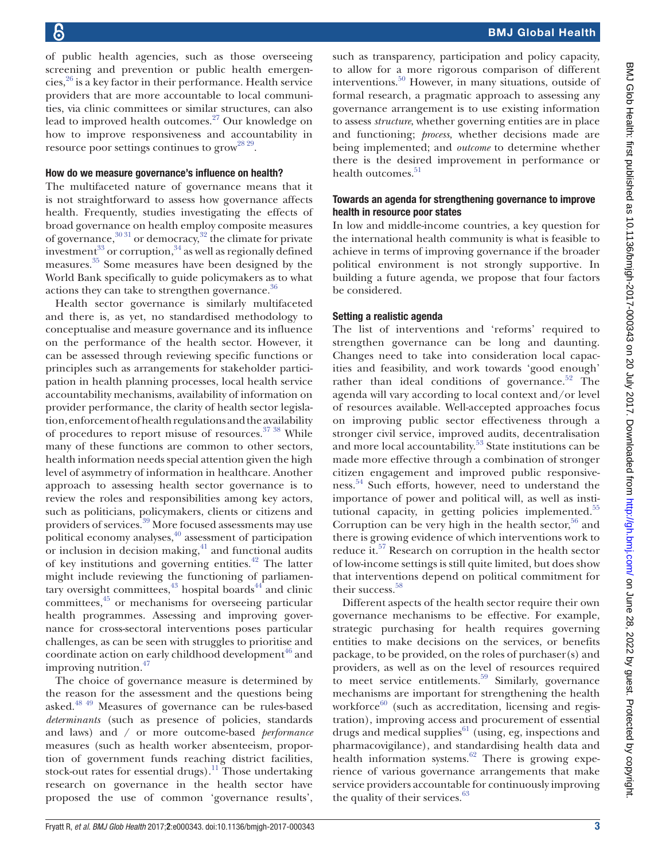of public health agencies, such as those overseeing screening and prevention or public health emergen $cies$ ,  $z<sup>6</sup>$  is a key factor in their performance. Health service providers that are more accountable to local communities, via clinic committees or similar structures, can also lead to improved health outcomes. $27$  Our knowledge on how to improve responsiveness and accountability in resource poor settings continues to grow<sup>[28 29](#page-4-23)</sup>.

#### How do we measure governance's influence on health?

The multifaceted nature of governance means that it is not straightforward to assess how governance affects health. Frequently, studies investigating the effects of broad governance on health employ composite measures of governance, $30\,31$  or democracy, $32$  the climate for private investment<sup>[33](#page-4-26)</sup> or corruption,<sup>34</sup> as well as regionally defined measures. [35](#page-4-28) Some measures have been designed by the World Bank specifically to guide policymakers as to what actions they can take to strengthen governance.<sup>36</sup>

Health sector governance is similarly multifaceted and there is, as yet, no standardised methodology to conceptualise and measure governance and its influence on the performance of the health sector. However, it can be assessed through reviewing specific functions or principles such as arrangements for stakeholder participation in health planning processes, local health service accountability mechanisms, availability of information on provider performance, the clarity of health sector legislation, enforcement of health regulations and the availability of procedures to report misuse of resources. $37 38$  While many of these functions are common to other sectors, health information needs special attention given the high level of asymmetry of information in healthcare. Another approach to assessing health sector governance is to review the roles and responsibilities among key actors, such as politicians, policymakers, clients or citizens and providers of services[.39](#page-4-31) More focused assessments may use political economy analyses, $40$  assessment of participation or inclusion in decision making, $41$  and functional audits of key institutions and governing entities. $42$  The latter might include reviewing the functioning of parliamentary oversight committees, $43$  hospital boards $44$  and clinic committees, $45$  or mechanisms for overseeing particular health programmes. Assessing and improving governance for cross-sectoral interventions poses particular challenges, as can be seen with struggles to prioritise and coordinate action on early childhood development $^{46}$  $^{46}$  $^{46}$  and improving nutrition.[47](#page-4-39)

The choice of governance measure is determined by the reason for the assessment and the questions being asked.[48 49](#page-4-40) Measures of governance can be rules-based *determinants* (such as presence of policies, standards and laws) and / or more outcome-based *performance* measures (such as health worker absenteeism, proportion of government funds reaching district facilities, stock-out rates for essential drugs).<sup>11</sup> Those undertaking research on governance in the health sector have proposed the use of common 'governance results',

such as transparency, participation and policy capacity, to allow for a more rigorous comparison of different interventions.[50](#page-4-42) However, in many situations, outside of formal research, a pragmatic approach to assessing any governance arrangement is to use existing information to assess *structure*, whether governing entities are in place and functioning; *process,* whether decisions made are being implemented; and *outcome* to determine whether there is the desired improvement in performance or health outcomes.<sup>[51](#page-4-43)</sup>

#### Towards an agenda for strengthening governance to improve health in resource poor states

In low and middle-income countries, a key question for the international health community is what is feasible to achieve in terms of improving governance if the broader political environment is not strongly supportive. In building a future agenda, we propose that four factors be considered.

#### Setting a realistic agenda

The list of interventions and 'reforms' required to strengthen governance can be long and daunting. Changes need to take into consideration local capacities and feasibility, and work towards 'good enough' rather than ideal conditions of governance. $52$  The agenda will vary according to local context and/or level of resources available. Well-accepted approaches focus on improving public sector effectiveness through a stronger civil service, improved audits, decentralisation and more local accountability.<sup>53</sup> State institutions can be made more effective through a combination of stronger citizen engagement and improved public responsiveness. [54](#page-4-46) Such efforts, however, need to understand the importance of power and political will, as well as insti-tutional capacity, in getting policies implemented.<sup>[55](#page-4-47)</sup> Corruption can be very high in the health sector, $56$  and there is growing evidence of which interventions work to reduce it.[57](#page-4-49) Research on corruption in the health sector of low-income settings is still quite limited, but does show that interventions depend on political commitment for their success.<sup>[58](#page-4-50)</sup>

Different aspects of the health sector require their own governance mechanisms to be effective. For example, strategic purchasing for health requires governing entities to make decisions on the services, or benefits package, to be provided, on the roles of purchaser(s) and providers, as well as on the level of resources required to meet service entitlements.<sup>59</sup> Similarly, governance mechanisms are important for strengthening the health workforce $^{60}$  (such as accreditation, licensing and registration), improving access and procurement of essential drugs and medical supplies $^{61}$  (using, eg, inspections and pharmacovigilance), and standardising health data and health information systems. $62$  There is growing experience of various governance arrangements that make service providers accountable for continuously improving the quality of their services.<sup>[63](#page-5-4)</sup>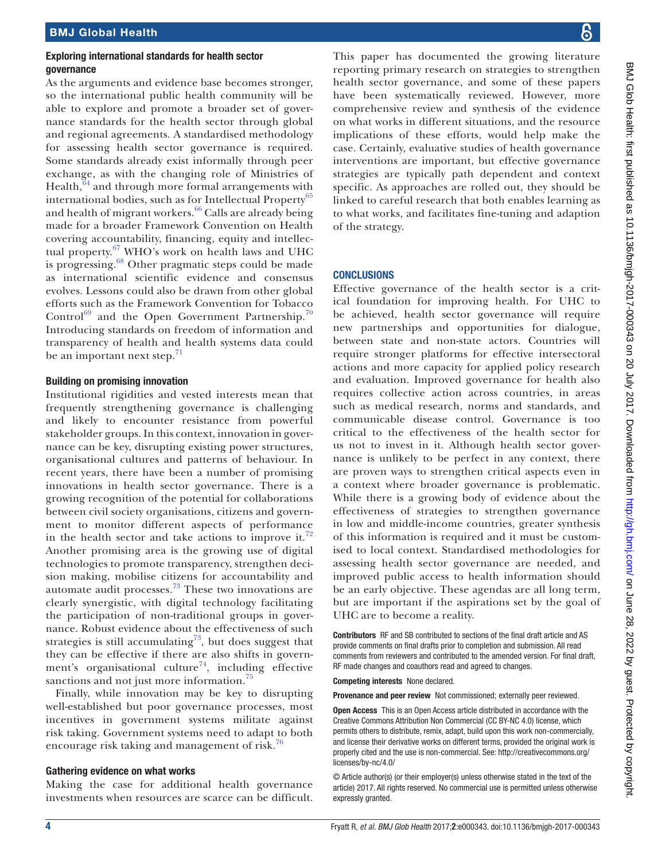#### Exploring international standards for health sector governance

As the arguments and evidence base becomes stronger, so the international public health community will be able to explore and promote a broader set of governance standards for the health sector through global and regional agreements. A standardised methodology for assessing health sector governance is required. Some standards already exist informally through peer exchange, as with the changing role of Ministries of Health, $^{64}$  $^{64}$  $^{64}$  and through more formal arrangements with international bodies, such as for Intellectual Property<sup>[65](#page-5-6)</sup> and health of migrant workers.<sup>[66](#page-5-7)</sup> Calls are already being made for a broader Framework Convention on Health covering accountability, financing, equity and intellectual property.[67](#page-5-8) WHO's work on health laws and UHC is progressing.[68](#page-5-9) Other pragmatic steps could be made as international scientific evidence and consensus evolves. Lessons could also be drawn from other global efforts such as the Framework Convention for Tobacco Control<sup>[69](#page-5-10)</sup> and the Open Government Partnership.<sup>[70](#page-5-11)</sup> Introducing standards on freedom of information and transparency of health and health systems data could be an important next step. $^{71}$  $^{71}$  $^{71}$ 

#### Building on promising innovation

Institutional rigidities and vested interests mean that frequently strengthening governance is challenging and likely to encounter resistance from powerful stakeholder groups. In this context, innovation in governance can be key, disrupting existing power structures, organisational cultures and patterns of behaviour. In recent years, there have been a number of promising innovations in health sector governance. There is a growing recognition of the potential for collaborations between civil society organisations, citizens and government to monitor different aspects of performance in the health sector and take actions to improve it.<sup>[72](#page-5-13)</sup> Another promising area is the growing use of digital technologies to promote transparency, strengthen decision making, mobilise citizens for accountability and automate audit processes.[73](#page-5-14) These two innovations are clearly synergistic, with digital technology facilitating the participation of non-traditional groups in governance. Robust evidence about the effectiveness of such strategies is still accumulating<sup>73</sup>, but does suggest that they can be effective if there are also shifts in government's organisational culture<sup>74</sup>, including effective sanctions and not just more information.<sup>[75](#page-5-16)</sup>

Finally, while innovation may be key to disrupting well-established but poor governance processes, most incentives in government systems militate against risk taking. Government systems need to adapt to both encourage risk taking and management of risk.<sup>[76](#page-5-17)</sup>

#### Gathering evidence on what works

Making the case for additional health governance investments when resources are scarce can be difficult.

This paper has documented the growing literature reporting primary research on strategies to strengthen health sector governance, and some of these papers have been systematically reviewed. However, more comprehensive review and synthesis of the evidence on what works in different situations, and the resource implications of these efforts, would help make the case. Certainly, evaluative studies of health governance interventions are important, but effective governance strategies are typically path dependent and context specific. As approaches are rolled out, they should be linked to careful research that both enables learning as to what works, and facilitates fine-tuning and adaption of the strategy.

### **CONCLUSIONS**

Effective governance of the health sector is a critical foundation for improving health. For UHC to be achieved, health sector governance will require new partnerships and opportunities for dialogue, between state and non-state actors. Countries will require stronger platforms for effective intersectoral actions and more capacity for applied policy research and evaluation. Improved governance for health also requires collective action across countries, in areas such as medical research, norms and standards, and communicable disease control. Governance is too critical to the effectiveness of the health sector for us not to invest in it. Although health sector governance is unlikely to be perfect in any context, there are proven ways to strengthen critical aspects even in a context where broader governance is problematic. While there is a growing body of evidence about the effectiveness of strategies to strengthen governance in low and middle-income countries, greater synthesis of this information is required and it must be customised to local context. Standardised methodologies for assessing health sector governance are needed, and improved public access to health information should be an early objective. These agendas are all long term, but are important if the aspirations set by the goal of UHC are to become a reality.

Contributors RF and SB contributed to sections of the final draft article and AS provide comments on final drafts prior to completion and submission. All read comments from reviewers and contributed to the amended version. For final draft, RF made changes and coauthors read and agreed to changes.

Competing interests None declared.

Provenance and peer review Not commissioned; externally peer reviewed.

Open Access This is an Open Access article distributed in accordance with the Creative Commons Attribution Non Commercial (CC BY-NC 4.0) license, which permits others to distribute, remix, adapt, build upon this work non-commercially, and license their derivative works on different terms, provided the original work is properly cited and the use is non-commercial. See: [http://creativecommons.org/](http://creativecommons.org/licenses/by-nc/4.0/) [licenses/by-nc/4.0/](http://creativecommons.org/licenses/by-nc/4.0/)

© Article author(s) (or their employer(s) unless otherwise stated in the text of the article) 2017. All rights reserved. No commercial use is permitted unless otherwise expressly granted.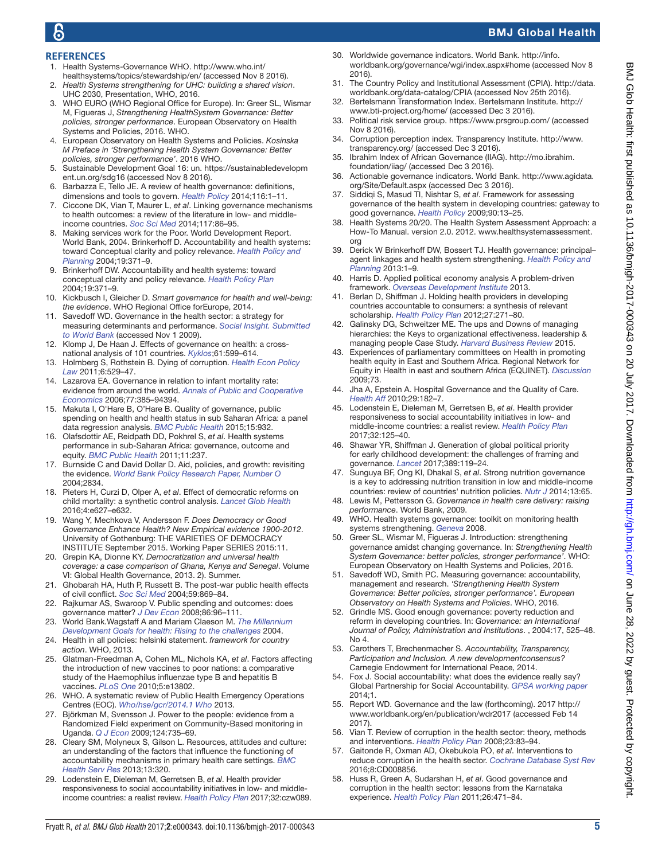# BMJ Global Health

#### **References**

- <span id="page-4-0"></span>1. Health Systems-Governance WHO. [http://www.who.int/](http://www.who.int/healthsystems/topics/stewardship/en/) [healthsystems/topics/stewardship/en/](http://www.who.int/healthsystems/topics/stewardship/en/) (accessed Nov 8 2016).
- <span id="page-4-1"></span>2. *Health Systems strengthening for UHC: building a shared vision*. UHC 2030, Presentation, WHO, 2016.
- <span id="page-4-2"></span>3. WHO EURO (WHO Regional Office for Europe). In: Greer SL, Wismar M, Figueras J, *Strengthening HealthSystem Governance: Better policies, stronger performance*. European Observatory on Health Systems and Policies, 2016. WHO.
- <span id="page-4-3"></span>4. European Observatory on Health Systems and Policies. *Kosinska M Preface in 'Strengthening Health System Governance: Better policies, stronger performance'*. 2016 WHO.
- <span id="page-4-4"></span>5. Sustainable Development Goal 16: un. [https://sustainabledevelopm](https://sustainabledevelopment.un.org/sdg16) [ent.un.org/sdg16](https://sustainabledevelopment.un.org/sdg16) (accessed Nov 8 2016).
- <span id="page-4-5"></span>6. Barbazza E, Tello JE. A review of health governance: definitions, dimensions and tools to govern. *[Health Policy](http://dx.doi.org/10.1016/j.healthpol.2014.01.007)* 2014;116:1–11.
- <span id="page-4-6"></span>7. Ciccone DK, Vian T, Maurer L, *et al*. Linking governance mechanisms to health outcomes: a review of the literature in low- and middleincome countries. *[Soc Sci Med](http://dx.doi.org/10.1016/j.socscimed.2014.07.010)* 2014;117:86–95.
- <span id="page-4-7"></span>8. Making services work for the Poor. World Development Report. World Bank, 2004. Brinkerhoff D. Accountability and health systems: toward Conceptual clarity and policy relevance. *Health Policy and Planning* 2004;19:371–9.
- <span id="page-4-8"></span>9. Brinkerhoff DW. Accountability and health systems: toward conceptual clarity and policy relevance. *[Health Policy Plan](http://dx.doi.org/10.1093/heapol/czh052)* 2004;19:371–9.
- <span id="page-4-9"></span>10. Kickbusch I, Gleicher D. *Smart governance for health and well-being: the evidence*. WHO Regional Office forEurope, 2014.
- <span id="page-4-41"></span>11. Savedoff WD. Governance in the health sector: a strategy for measuring determinants and performance. *Social Insight. Submitted to World Bank* (accessed Nov 1 2009).
- <span id="page-4-10"></span>12. Klomp J, De Haan J. Effects of governance on health: a crossnational analysis of 101 countries. *[Kyklos](http://dx.doi.org/10.1111/j.1467-6435.2008.00415.x)*;61:599–614.
- 13. Holmberg S, Rothstein B. Dying of corruption. *[Health Econ Policy](http://dx.doi.org/10.1017/S174413311000023X)  [Law](http://dx.doi.org/10.1017/S174413311000023X)* 2011;6:529–47.
- <span id="page-4-11"></span>14. Lazarova EA. Governance in relation to infant mortality rate: evidence from around the world. *[Annals of Public and Cooperative](http://dx.doi.org/10.1111/j.1467-8292.2006.00311.x)  [Economics](http://dx.doi.org/10.1111/j.1467-8292.2006.00311.x)* 2006;77:385–94394.
- <span id="page-4-12"></span>15. Makuta I, O'Hare B, O'Hare B. Quality of governance, public spending on health and health status in sub Saharan Africa: a panel data regression analysis. *[BMC Public Health](http://dx.doi.org/10.1186/s12889-015-2287-z)* 2015;15:932.
- <span id="page-4-13"></span>16. Olafsdottir AE, Reidpath DD, Pokhrel S, *et al*. Health systems performance in sub-Saharan Africa: governance, outcome and equity. *[BMC Public Health](http://dx.doi.org/10.1186/1471-2458-11-237)* 2011;11:237.
- <span id="page-4-14"></span>17. Burnside C and David Dollar D. Aid, policies, and growth: revisiting the evidence. *World Bank Policy Research Paper, Number O* 2004;2834.
- <span id="page-4-15"></span>18. Pieters H, Curzi D, Olper A, *et al*. Effect of democratic reforms on child mortality: a synthetic control analysis. *[Lancet Glob Health](http://dx.doi.org/10.1016/S2214-109X(16)30104-8)* 2016;4:e627–e632.
- 19. Wang Y, Mechkova V, Andersson F. *Does Democracy or Good Governance Enhance Health? New Empirical evidence 1900-2012*. University of Gothenburg: THE VARIETIES OF DEMOCRACY INSTITUTE September 2015. Working Paper SERIES 2015:11.
- <span id="page-4-16"></span>20. Grepin KA, Dionne KY. *Democratization and universal health coverage: a case comparison of Ghana, Kenya and Senegal*. Volume VI: Global Health Governance, 2013. 2). Summer.
- <span id="page-4-17"></span>21. Ghobarah HA, Huth P, Russett B. The post-war public health effects of civil conflict. *[Soc Sci Med](http://dx.doi.org/10.1016/j.socscimed.2003.11.043)* 2004;59:869–84.
- <span id="page-4-18"></span>22. Rajkumar AS, Swaroop V. Public spending and outcomes: does governance matter? *[J Dev Econ](http://dx.doi.org/10.1016/j.jdeveco.2007.08.003)* 2008;86:96–111.
- 23. World Bank.Wagstaff A and Mariam Claeson M. *The Millennium Development Goals for health: Rising to the challenges* 2004.
- <span id="page-4-19"></span>24. Health in all policies: helsinki statement. *framework for country action*. WHO, 2013.
- <span id="page-4-20"></span>25. Glatman-Freedman A, Cohen ML, Nichols KA, *et al*. Factors affecting the introduction of new vaccines to poor nations: a comparative study of the Haemophilus influenzae type B and hepatitis B vaccines. *[PLoS One](http://dx.doi.org/10.1371/journal.pone.0013802)* 2010;5:e13802.
- <span id="page-4-21"></span>26. WHO. A systematic review of Public Health Emergency Operations Centres (EOC). *Who/hse/gcr/2014.1 Who* 2013.
- <span id="page-4-22"></span>27. Björkman M, Svensson J. Power to the people: evidence from a Randomized Field experiment on Community-Based monitoring in Uganda. *[Q J Econ](http://dx.doi.org/10.1162/qjec.2009.124.2.735)* 2009;124:735–69.
- <span id="page-4-23"></span>28. Cleary SM, Molyneux S, Gilson L. Resources, attitudes and culture: an understanding of the factors that influence the functioning of accountability mechanisms in primary health care settings. *[BMC](http://dx.doi.org/10.1186/1472-6963-13-320)  [Health Serv Res](http://dx.doi.org/10.1186/1472-6963-13-320)* 2013;13:320.
- 29. Lodenstein E, Dieleman M, Gerretsen B, *et al*. Health provider responsiveness to social accountability initiatives in low- and middleincome countries: a realist review. *[Health Policy Plan](http://dx.doi.org/10.1093/heapol/czw089)* 2017;32:czw089.
- <span id="page-4-24"></span>30. Worldwide governance indicators. World Bank. [http://info.](http://info.worldbank.org/governance/wgi/index.aspx#home) [worldbank.org/governance/wgi/index.aspx#home](http://info.worldbank.org/governance/wgi/index.aspx#home) (accessed Nov 8 2016).
- 31. The Country Policy and Institutional Assessment (CPIA). [http://data.](http://data.worldbank.org/data-catalog/CPIA) [worldbank.org/data-catalog/CPIA](http://data.worldbank.org/data-catalog/CPIA) (accessed Nov 25th 2016).
- <span id="page-4-25"></span>32. Bertelsmann Transformation Index. Bertelsmann Institute. [http://](http://www.bti-project.org/home/) [www.bti-project.org/home/](http://www.bti-project.org/home/) (accessed Dec 3 2016).
- <span id="page-4-26"></span>33. Political risk service group. <https://www.prsgroup.com/>(accessed Nov 8 2016).
- <span id="page-4-27"></span>34. Corruption perception index. Transparency Institute. [http://www.](http://www.transparency.org/) [transparency.org/](http://www.transparency.org/) (accessed Dec 3 2016).
- <span id="page-4-28"></span>35. Ibrahim Index of African Governance (IIAG). [http://mo.ibrahim.](http://mo.ibrahim.foundation/iiag/) [foundation/iiag/](http://mo.ibrahim.foundation/iiag/) (accessed Dec 3 2016).
- <span id="page-4-29"></span>36. Actionable governance indicators. World Bank. [http://www.agidata.](http://www.agidata.org/Site/Default.aspx) [org/Site/Default.aspx](http://www.agidata.org/Site/Default.aspx) (accessed Dec 3 2016).
- <span id="page-4-30"></span>37. Siddiqi S, Masud TI, Nishtar S, *et al*. Framework for assessing governance of the health system in developing countries: gateway to good governance. *[Health Policy](http://dx.doi.org/10.1016/j.healthpol.2008.08.005)* 2009;90:13–25.
- 38. Health Systems 20/20. The Health System Assessment Approach: a How-To Manual. version 2.0. 2012. [www.healthsystemassessment.](www.healthsystemassessment.org) [org](www.healthsystemassessment.org)
- <span id="page-4-31"></span>39. Derick W Brinkerhoff DW, Bossert TJ. Health governance: principal– agent linkages and health system strengthening. *Health Policy and Planning* 2013:1–9.
- <span id="page-4-32"></span>40. Harris D. Applied political economy analysis A problem-driven framework. *Overseas Development Institute* 2013.
- <span id="page-4-33"></span>41. Berlan D, Shiffman J. Holding health providers in developing countries accountable to consumers: a synthesis of relevant scholarship. *[Health Policy Plan](http://dx.doi.org/10.1093/heapol/czr036)* 2012;27:271–80.
- <span id="page-4-34"></span>42. Galinsky DG, Schweitzer ME. The ups and Downs of managing hierarchies: the Keys to organizational effectiveness. leadership & managing people Case Study. *Harvard Business Review* 2015.
- <span id="page-4-35"></span>43. Experiences of parliamentary committees on Health in promoting health equity in East and Southern Africa. Regional Network for Equity in Health in east and southern Africa (EQUINET). *Discussion* 2009;73.
- <span id="page-4-36"></span>44. Jha A, Epstein A. Hospital Governance and the Quality of Care. *[Health Aff](http://dx.doi.org/10.1377/hlthaff.2009.0297)* 2010;29:182–7.
- <span id="page-4-37"></span>45. Lodenstein E, Dieleman M, Gerretsen B, *et al*. Health provider responsiveness to social accountability initiatives in low- and middle-income countries: a realist review. *[Health Policy Plan](http://dx.doi.org/10.1093/heapol/czw089)* 2017;32:125–40.
- <span id="page-4-38"></span>46. Shawar YR, Shiffman J. Generation of global political priority for early childhood development: the challenges of framing and governance. *[Lancet](http://dx.doi.org/10.1016/S0140-6736(16)31574-4)* 2017;389:119–24.
- <span id="page-4-39"></span>47. Sunguya BF, Ong KI, Dhakal S, *et al*. Strong nutrition governance is a key to addressing nutrition transition in low and middle-income countries: review of countries' nutrition policies. *[Nutr J](http://dx.doi.org/10.1186/1475-2891-13-65)* 2014;13:65.
- <span id="page-4-40"></span>48. Lewis M, Pettersson G. *Governance in health care delivery: raising performance*. World Bank, 2009.
- 49. WHO. Health systems governance: toolkit on monitoring health systems strengthening. *Geneva* 2008.
- <span id="page-4-42"></span>50. Greer SL, Wismar M, Figueras J. Introduction: strengthening governance amidst changing governance. In: *Strengthening Health System Governance: better policies, stronger performance'*. WHO: European Observatory on Health Systems and Policies, 2016.
- <span id="page-4-43"></span>51. Savedoff WD, Smith PC. Measuring governance: accountability, management and research. *'Strengthening Health System Governance: Better policies, stronger performance'. European Observatory on Health Systems and Policies*. WHO, 2016.
- <span id="page-4-44"></span>52. Grindle MS. Good enough governance: poverty reduction and reform in developing countries. In: *[Governance: an International](http://dx.doi.org/10.1111/j.0952-1895.2004.00256.x)  [Journal of Policy, Administration and Institutions](http://dx.doi.org/10.1111/j.0952-1895.2004.00256.x)*. , 2004:17, 525–48. No 4.
- <span id="page-4-45"></span>53. Carothers T, Brechenmacher S. *Accountability, Transparency, Participation and Inclusion. A new developmentconsensus?* Carnegie Endowment for International Peace, 2014.
- <span id="page-4-46"></span>54. Fox J. Social accountability: what does the evidence really say? Global Partnership for Social Accountability. *GPSA working paper* 2014;1.
- <span id="page-4-47"></span>55. Report WD. Governance and the law (forthcoming). 2017 [http://](http://www.worldbank.org/en/publication/wdr2017) [www.worldbank.org/en/publication/wdr2017](http://www.worldbank.org/en/publication/wdr2017) (accessed Feb 14 2017)
- <span id="page-4-48"></span>56. Vian T. Review of corruption in the health sector: theory, methods and interventions. *[Health Policy Plan](http://dx.doi.org/10.1093/heapol/czm048)* 2008;23:83–94.
- <span id="page-4-49"></span>57. Gaitonde R, Oxman AD, Okebukola PO, *et al*. Interventions to reduce corruption in the health sector. *Cochrane Database Syst Rev* 2016;8:CD008856.
- <span id="page-4-50"></span>58. Huss R, Green A, Sudarshan H, *et al*. Good governance and corruption in the health sector: lessons from the Karnataka experience. *[Health Policy Plan](http://dx.doi.org/10.1093/heapol/czq080)* 2011;26:471–84.